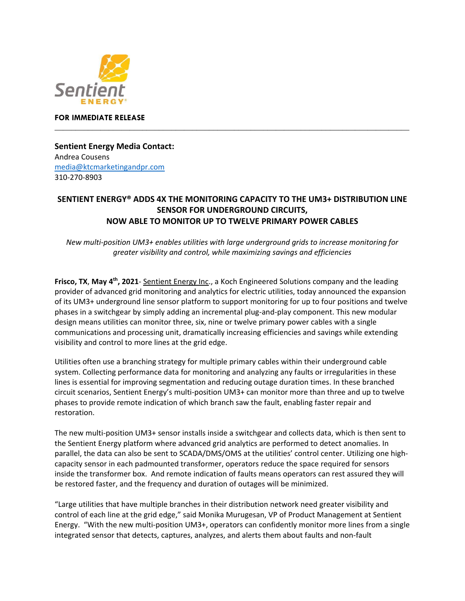

## **FOR IMMEDIATE RELEASE \_\_\_\_\_\_\_\_\_\_\_\_\_\_\_\_\_\_\_\_\_\_\_\_\_\_\_\_\_\_\_\_\_\_\_\_\_\_\_\_\_\_\_\_\_\_\_\_\_\_\_\_\_\_\_\_\_\_\_\_\_\_\_\_\_\_\_\_\_\_\_\_\_\_\_\_\_\_\_\_\_\_\_\_\_**

**Sentient Energy Media Contact:**  Andrea Cousens [media@ktcmarketingandpr.com](mailto:media@ktcmarketingandpr.com) 310-270-8903

## **SENTIENT ENERGY® ADDS 4X THE MONITORING CAPACITY TO THE UM3+ DISTRIBUTION LINE SENSOR FOR UNDERGROUND CIRCUITS, NOW ABLE TO MONITOR UP TO TWELVE PRIMARY POWER CABLES**

*New multi-position UM3+ enables utilities with large underground grids to increase monitoring for greater visibility and control, while maximizing savings and efficiencies*

**Frisco, TX**, **May 4th , 2021**- [Sentient Energy Inc.](http://www.sentientenergy.com/), a Koch Engineered Solutions company and the leading provider of advanced grid monitoring and analytics for electric utilities, today announced the expansion of its UM3+ underground line sensor platform to support monitoring for up to four positions and twelve phases in a switchgear by simply adding an incremental plug-and-play component. This new modular design means utilities can monitor three, six, nine or twelve primary power cables with a single communications and processing unit, dramatically increasing efficiencies and savings while extending visibility and control to more lines at the grid edge.

Utilities often use a branching strategy for multiple primary cables within their underground cable system. Collecting performance data for monitoring and analyzing any faults or irregularities in these lines is essential for improving segmentation and reducing outage duration times. In these branched circuit scenarios, Sentient Energy's multi-position UM3+ can monitor more than three and up to twelve phases to provide remote indication of which branch saw the fault, enabling faster repair and restoration.

The new multi-position UM3+ sensor installs inside a switchgear and collects data, which is then sent to the Sentient Energy platform where advanced grid analytics are performed to detect anomalies. In parallel, the data can also be sent to SCADA/DMS/OMS at the utilities' control center. Utilizing one highcapacity sensor in each padmounted transformer, operators reduce the space required for sensors inside the transformer box. And remote indication of faults means operators can rest assured they will be restored faster, and the frequency and duration of outages will be minimized.

"Large utilities that have multiple branches in their distribution network need greater visibility and control of each line at the grid edge," said Monika Murugesan, VP of Product Management at Sentient Energy. "With the new multi-position UM3+, operators can confidently monitor more lines from a single integrated sensor that detects, captures, analyzes, and alerts them about faults and non-fault